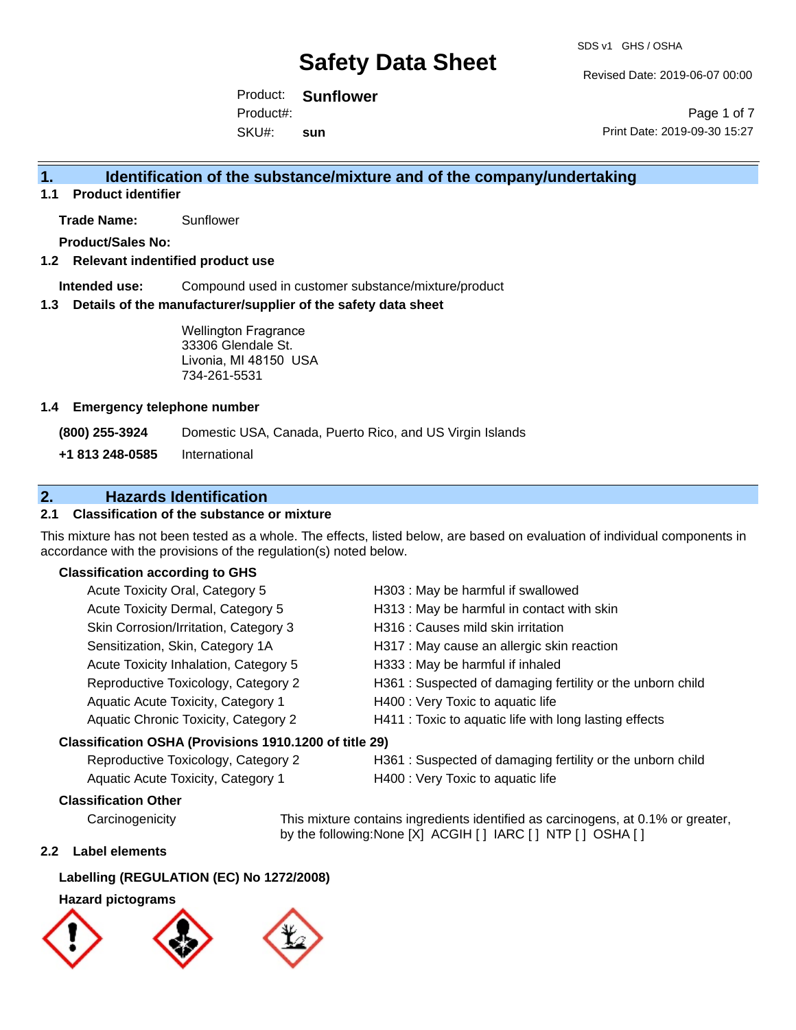Revised Date: 2019-06-07 00:00

Product: **Sunflower**  Product#:

SKU#: **sun**

Page 1 of 7 Print Date: 2019-09-30 15:27

### **1. Identification of the substance/mixture and of the company/undertaking**

**1.1 Product identifier**

**Trade Name:** Sunflower

**Product/Sales No:**

#### **1.2 Relevant indentified product use**

**Intended use:** Compound used in customer substance/mixture/product

#### **1.3 Details of the manufacturer/supplier of the safety data sheet**

Wellington Fragrance 33306 Glendale St. Livonia, MI 48150 USA 734-261-5531

#### **1.4 Emergency telephone number**

**(800) 255-3924** Domestic USA, Canada, Puerto Rico, and US Virgin Islands

**+1 813 248-0585** International

### **2. Hazards Identification**

#### **2.1 Classification of the substance or mixture**

This mixture has not been tested as a whole. The effects, listed below, are based on evaluation of individual components in accordance with the provisions of the regulation(s) noted below.

#### **Classification according to GHS**

| Acute Toxicity Oral, Category 5                        | H303 : May be harmful if swallowed                         |
|--------------------------------------------------------|------------------------------------------------------------|
| Acute Toxicity Dermal, Category 5                      | H313 : May be harmful in contact with skin                 |
| Skin Corrosion/Irritation, Category 3                  | H316 : Causes mild skin irritation                         |
| Sensitization, Skin, Category 1A                       | H317 : May cause an allergic skin reaction                 |
| Acute Toxicity Inhalation, Category 5                  | H333: May be harmful if inhaled                            |
| Reproductive Toxicology, Category 2                    | H361 : Suspected of damaging fertility or the unborn child |
| Aquatic Acute Toxicity, Category 1                     | H400 : Very Toxic to aquatic life                          |
| Aquatic Chronic Toxicity, Category 2                   | H411 : Toxic to aquatic life with long lasting effects     |
| Classification OSHA (Provisions 1910.1200 of title 29) |                                                            |
| Reproductive Toxicology, Category 2                    | H361 : Suspected of damaging fertility or the unborn child |
|                                                        |                                                            |

Aquatic Acute Toxicity, Category 1 H400 : Very Toxic to aquatic life

### **Classification Other**

Carcinogenicity This mixture contains ingredients identified as carcinogens, at 0.1% or greater, by the following:None [X] ACGIH [ ] IARC [ ] NTP [ ] OSHA [ ]

#### **2.2 Label elements**

### **Labelling (REGULATION (EC) No 1272/2008)**

#### **Hazard pictograms**

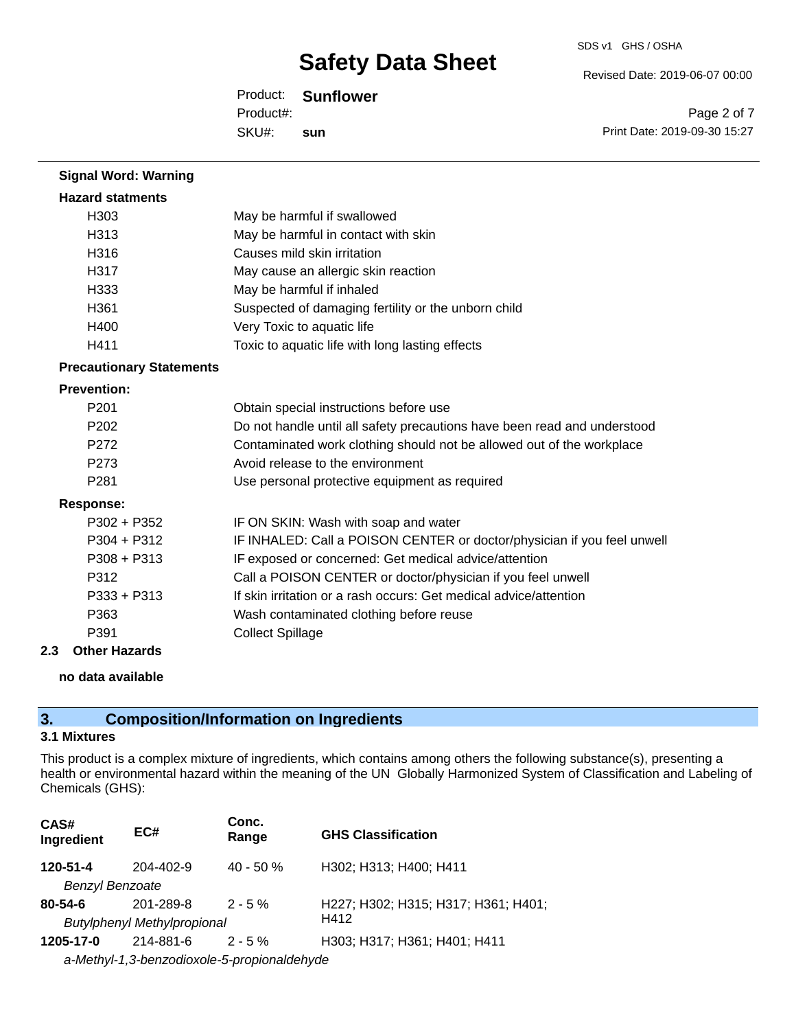Revised Date: 2019-06-07 00:00

Product: **Sunflower**  SKU#: Product#: **sun**

Page 2 of 7 Print Date: 2019-09-30 15:27

| <b>Signal Word: Warning</b>     |                                                                          |
|---------------------------------|--------------------------------------------------------------------------|
| <b>Hazard statments</b>         |                                                                          |
| H303                            | May be harmful if swallowed                                              |
| H313                            | May be harmful in contact with skin                                      |
| H316                            | Causes mild skin irritation                                              |
| H317                            | May cause an allergic skin reaction                                      |
| H333                            | May be harmful if inhaled                                                |
| H361                            | Suspected of damaging fertility or the unborn child                      |
| H400                            | Very Toxic to aquatic life                                               |
| H411                            | Toxic to aquatic life with long lasting effects                          |
| <b>Precautionary Statements</b> |                                                                          |
| <b>Prevention:</b>              |                                                                          |
| P <sub>201</sub>                | Obtain special instructions before use                                   |
| P <sub>202</sub>                | Do not handle until all safety precautions have been read and understood |
| P272                            | Contaminated work clothing should not be allowed out of the workplace    |
| P273                            | Avoid release to the environment                                         |
| P <sub>281</sub>                | Use personal protective equipment as required                            |
| <b>Response:</b>                |                                                                          |
| $P302 + P352$                   | IF ON SKIN: Wash with soap and water                                     |
| $P304 + P312$                   | IF INHALED: Call a POISON CENTER or doctor/physician if you feel unwell  |
| $P308 + P313$                   | IF exposed or concerned: Get medical advice/attention                    |
| P312                            | Call a POISON CENTER or doctor/physician if you feel unwell              |
| $P333 + P313$                   | If skin irritation or a rash occurs: Get medical advice/attention        |
| P363                            | Wash contaminated clothing before reuse                                  |
| P391                            | <b>Collect Spillage</b>                                                  |
| <b>Other Hazards</b><br>2.3     |                                                                          |

#### **no data available**

## **3. Composition/Information on Ingredients**

#### **3.1 Mixtures**

This product is a complex mixture of ingredients, which contains among others the following substance(s), presenting a health or environmental hazard within the meaning of the UN Globally Harmonized System of Classification and Labeling of Chemicals (GHS):

| CAS#<br>Ingredient     | EC#                                         | Conc.<br>Range | <b>GHS Classification</b>           |
|------------------------|---------------------------------------------|----------------|-------------------------------------|
| 120-51-4               | 204-402-9                                   | $40 - 50%$     | H302; H313; H400; H411              |
| <b>Benzyl Benzoate</b> |                                             |                |                                     |
| $80 - 54 - 6$          | 201-289-8                                   | $2 - 5%$       | H227; H302; H315; H317; H361; H401; |
|                        | <b>Butylphenyl Methylpropional</b>          |                | H412                                |
| 1205-17-0              | 214-881-6                                   | $2 - 5 \%$     | H303; H317; H361; H401; H411        |
|                        | a-Methyl-1,3-benzodioxole-5-propionaldehyde |                |                                     |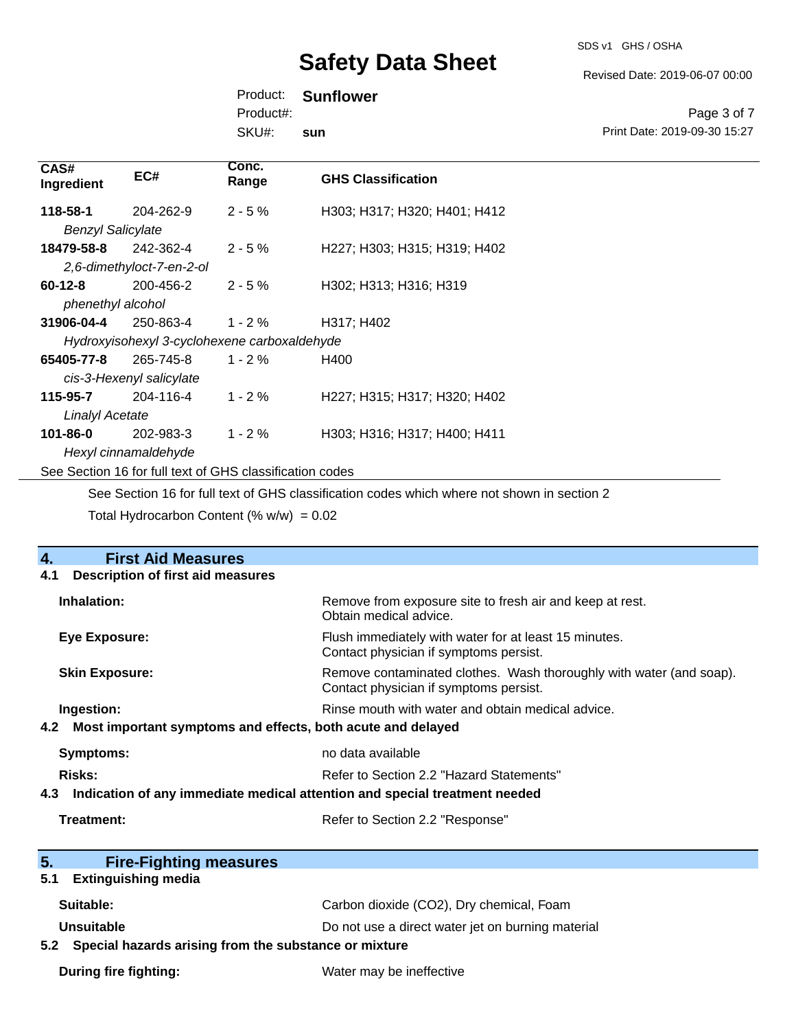SDS v1 GHS / OSHA

Revised Date: 2019-06-07 00:00

Print Date: 2019-09-30 15:27

Page 3 of 7

Product: **Sunflower** 

Product#:

SKU#: **sun**

| CAS#<br>EC#<br>Ingredient                                | Conc.<br>Range | <b>GHS Classification</b>    |  |  |
|----------------------------------------------------------|----------------|------------------------------|--|--|
| 118-58-1<br>204-262-9                                    | $2 - 5%$       | H303; H317; H320; H401; H412 |  |  |
| <b>Benzyl Salicylate</b>                                 |                |                              |  |  |
| 18479-58-8<br>242-362-4                                  | $2 - 5%$       | H227; H303; H315; H319; H402 |  |  |
| 2,6-dimethyloct-7-en-2-ol                                |                |                              |  |  |
| 200-456-2<br>$60 - 12 - 8$                               | $2 - 5 \%$     | H302; H313; H316; H319       |  |  |
| phenethyl alcohol                                        |                |                              |  |  |
| 31906-04-4<br>250-863-4                                  | $1 - 2\%$      | H317; H402                   |  |  |
| Hydroxyisohexyl 3-cyclohexene carboxaldehyde             |                |                              |  |  |
| 65405-77-8<br>265-745-8                                  | $1 - 2 \%$     | H400                         |  |  |
| cis-3-Hexenyl salicylate                                 |                |                              |  |  |
| 204-116-4<br>115-95-7                                    | $1 - 2%$       | H227; H315; H317; H320; H402 |  |  |
| <b>Linalyl Acetate</b>                                   |                |                              |  |  |
| 101-86-0<br>202-983-3                                    | $1 - 2 \%$     | H303; H316; H317; H400; H411 |  |  |
| Hexyl cinnamaldehyde                                     |                |                              |  |  |
| See Section 16 for full text of GHS classification codes |                |                              |  |  |

See Section 16 for full text of GHS classification codes which where not shown in section 2

Total Hydrocarbon Content  $(\% w/w) = 0.02$ 

| <b>First Aid Measures</b><br>4.                                                   |                                                                                                               |  |  |
|-----------------------------------------------------------------------------------|---------------------------------------------------------------------------------------------------------------|--|--|
| <b>Description of first aid measures</b><br>4.1                                   |                                                                                                               |  |  |
| Inhalation:                                                                       | Remove from exposure site to fresh air and keep at rest.<br>Obtain medical advice.                            |  |  |
| Eye Exposure:                                                                     | Flush immediately with water for at least 15 minutes.<br>Contact physician if symptoms persist.               |  |  |
| <b>Skin Exposure:</b>                                                             | Remove contaminated clothes. Wash thoroughly with water (and soap).<br>Contact physician if symptoms persist. |  |  |
| Ingestion:                                                                        | Rinse mouth with water and obtain medical advice.                                                             |  |  |
| Most important symptoms and effects, both acute and delayed<br>4.2                |                                                                                                               |  |  |
| Symptoms:                                                                         | no data available                                                                                             |  |  |
| <b>Risks:</b>                                                                     | Refer to Section 2.2 "Hazard Statements"                                                                      |  |  |
| Indication of any immediate medical attention and special treatment needed<br>4.3 |                                                                                                               |  |  |
| Treatment:                                                                        | Refer to Section 2.2 "Response"                                                                               |  |  |
| 5.<br><b>Fire-Fighting measures</b>                                               |                                                                                                               |  |  |
| <b>Extinguishing media</b><br>5.1                                                 |                                                                                                               |  |  |
| Suitable:                                                                         | Carbon dioxide (CO2), Dry chemical, Foam                                                                      |  |  |
| Unsuitable                                                                        | Do not use a direct water jet on burning material                                                             |  |  |
| Special hazards arising from the substance or mixture<br>5.2                      |                                                                                                               |  |  |
| <b>During fire fighting:</b>                                                      | Water may be ineffective                                                                                      |  |  |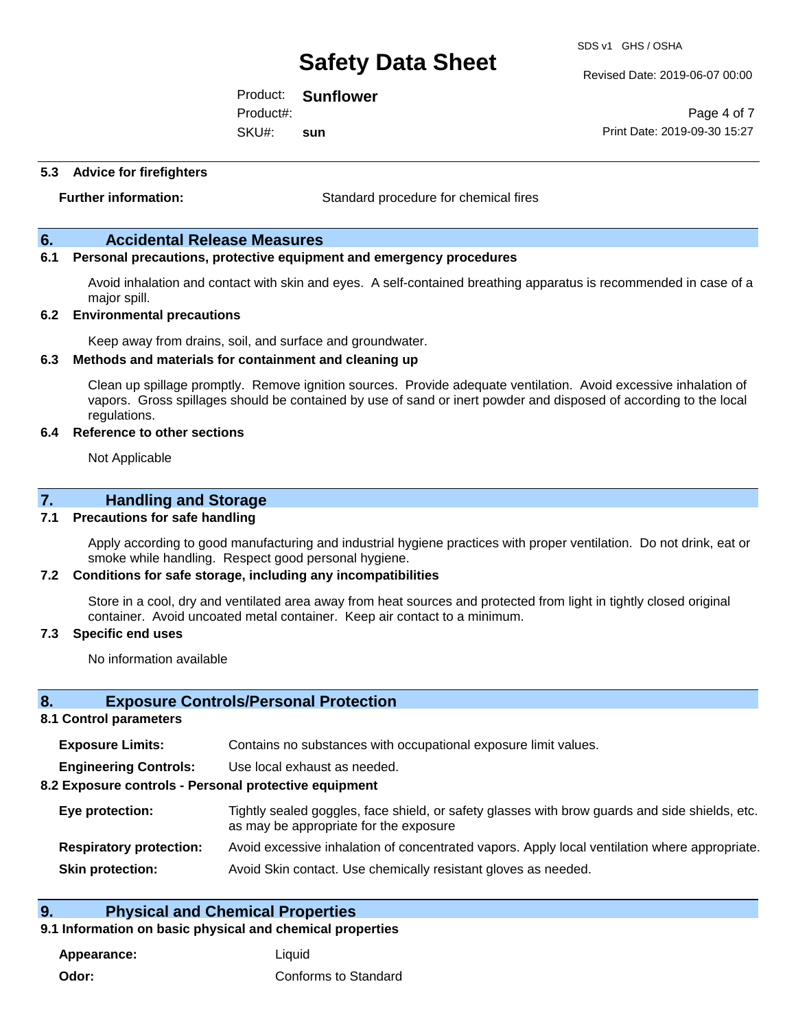Revised Date: 2019-06-07 00:00

Product: **Sunflower**  SKU#: Product#: **sun**

Page 4 of 7 Print Date: 2019-09-30 15:27

#### **5.3 Advice for firefighters**

**Further information:** Standard procedure for chemical fires

#### **6. Accidental Release Measures**

#### **6.1 Personal precautions, protective equipment and emergency procedures**

Avoid inhalation and contact with skin and eyes. A self-contained breathing apparatus is recommended in case of a major spill.

#### **6.2 Environmental precautions**

Keep away from drains, soil, and surface and groundwater.

#### **6.3 Methods and materials for containment and cleaning up**

Clean up spillage promptly. Remove ignition sources. Provide adequate ventilation. Avoid excessive inhalation of vapors. Gross spillages should be contained by use of sand or inert powder and disposed of according to the local regulations.

#### **6.4 Reference to other sections**

Not Applicable

#### **7. Handling and Storage**

#### **7.1 Precautions for safe handling**

Apply according to good manufacturing and industrial hygiene practices with proper ventilation. Do not drink, eat or smoke while handling. Respect good personal hygiene.

#### **7.2 Conditions for safe storage, including any incompatibilities**

Store in a cool, dry and ventilated area away from heat sources and protected from light in tightly closed original container. Avoid uncoated metal container. Keep air contact to a minimum.

#### **7.3 Specific end uses**

No information available

#### **8. Exposure Controls/Personal Protection**

#### **8.1 Control parameters**

| <b>Exposure Limits:</b> |  | Contains no substances with occupational exposure limit values. |
|-------------------------|--|-----------------------------------------------------------------|
|-------------------------|--|-----------------------------------------------------------------|

**Engineering Controls:** Use local exhaust as needed.

#### **8.2 Exposure controls - Personal protective equipment**

| Eye protection:                | Tightly sealed goggles, face shield, or safety glasses with brow guards and side shields, etc.<br>as may be appropriate for the exposure |
|--------------------------------|------------------------------------------------------------------------------------------------------------------------------------------|
| <b>Respiratory protection:</b> | Avoid excessive inhalation of concentrated vapors. Apply local ventilation where appropriate.                                            |
| <b>Skin protection:</b>        | Avoid Skin contact. Use chemically resistant gloves as needed.                                                                           |

#### **9. Physical and Chemical Properties**

### **9.1 Information on basic physical and chemical properties**

**Appearance:** Liquid **Odor:** Conforms to Standard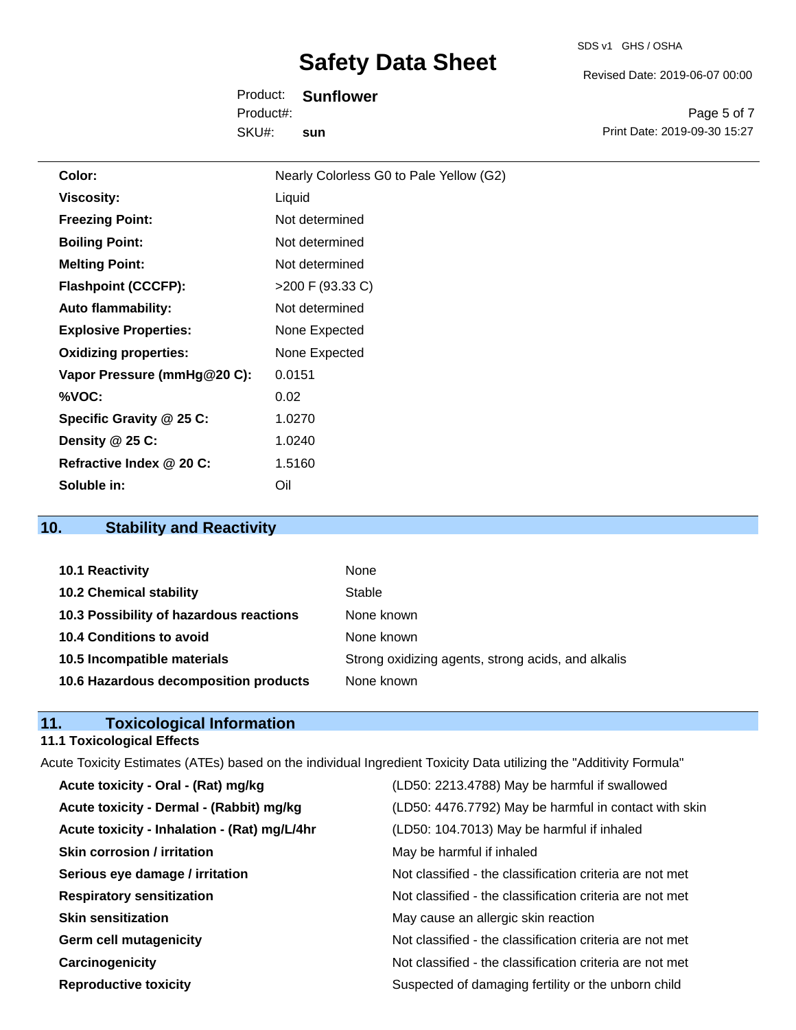Revised Date: 2019-06-07 00:00

Product: **Sunflower**  SKU#: Product#: **sun**

Page 5 of 7 Print Date: 2019-09-30 15:27

| Color:                       | Nearly Colorless G0 to Pale Yellow (G2) |
|------------------------------|-----------------------------------------|
| <b>Viscosity:</b>            | Liquid                                  |
| <b>Freezing Point:</b>       | Not determined                          |
| <b>Boiling Point:</b>        | Not determined                          |
| <b>Melting Point:</b>        | Not determined                          |
| <b>Flashpoint (CCCFP):</b>   | >200 F (93.33 C)                        |
| <b>Auto flammability:</b>    | Not determined                          |
| <b>Explosive Properties:</b> | None Expected                           |
| <b>Oxidizing properties:</b> | None Expected                           |
| Vapor Pressure (mmHg@20 C):  | 0.0151                                  |
| %VOC:                        | 0.02                                    |
| Specific Gravity @ 25 C:     | 1.0270                                  |
| Density @ 25 C:              | 1.0240                                  |
| Refractive Index @ 20 C:     | 1.5160                                  |
| Soluble in:                  | Oil                                     |

### **10. Stability and Reactivity**

| 10.1 Reactivity                         | None                                               |
|-----------------------------------------|----------------------------------------------------|
| <b>10.2 Chemical stability</b>          | Stable                                             |
| 10.3 Possibility of hazardous reactions | None known                                         |
| 10.4 Conditions to avoid                | None known                                         |
| 10.5 Incompatible materials             | Strong oxidizing agents, strong acids, and alkalis |
| 10.6 Hazardous decomposition products   | None known                                         |

### **11. Toxicological Information**

### **11.1 Toxicological Effects**

| Acute Toxicity Estimates (ATEs) based on the individual Ingredient Toxicity Data utilizing the "Additivity Formula" |                                                          |  |
|---------------------------------------------------------------------------------------------------------------------|----------------------------------------------------------|--|
| Acute toxicity - Oral - (Rat) mg/kg                                                                                 | (LD50: 2213.4788) May be harmful if swallowed            |  |
| Acute toxicity - Dermal - (Rabbit) mg/kg                                                                            | (LD50: 4476.7792) May be harmful in contact with skin    |  |
| Acute toxicity - Inhalation - (Rat) mg/L/4hr                                                                        | (LD50: 104.7013) May be harmful if inhaled               |  |
| <b>Skin corrosion / irritation</b>                                                                                  | May be harmful if inhaled                                |  |
| Serious eye damage / irritation                                                                                     | Not classified - the classification criteria are not met |  |
| <b>Respiratory sensitization</b>                                                                                    | Not classified - the classification criteria are not met |  |
| <b>Skin sensitization</b>                                                                                           | May cause an allergic skin reaction                      |  |
| <b>Germ cell mutagenicity</b>                                                                                       | Not classified - the classification criteria are not met |  |
| Carcinogenicity                                                                                                     | Not classified - the classification criteria are not met |  |
| <b>Reproductive toxicity</b>                                                                                        | Suspected of damaging fertility or the unborn child      |  |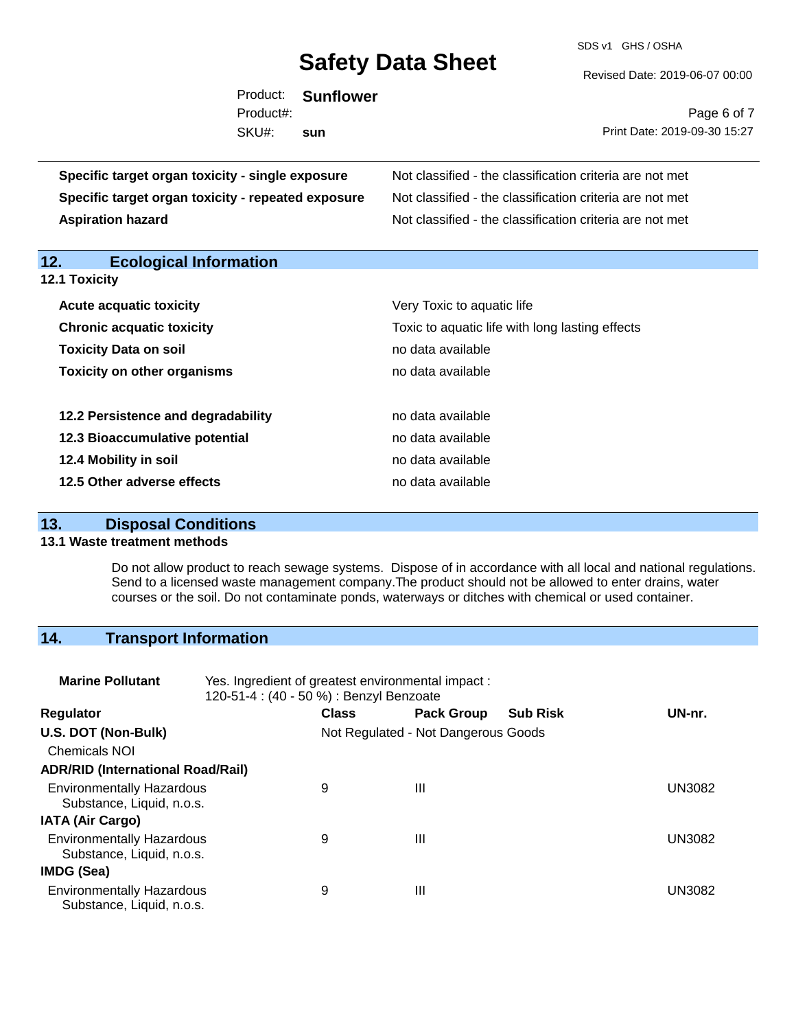SDS v1 GHS / OSHA

Revised Date: 2019-06-07 00:00

| Product:<br>Product#:                              | <b>Sunflower</b> | Page 6 of 7                                              |
|----------------------------------------------------|------------------|----------------------------------------------------------|
| SKU#:                                              | sun              | Print Date: 2019-09-30 15:27                             |
| Specific target organ toxicity - single exposure   |                  | Not classified - the classification criteria are not met |
| Specific target organ toxicity - repeated exposure |                  | Not classified - the classification criteria are not met |
| <b>Aspiration hazard</b>                           |                  | Not classified - the classification criteria are not met |

**12. Ecological Information** 

**12.1 Toxicity**

| <b>Acute acquatic toxicity</b>     | Very Toxic to aquatic life                      |
|------------------------------------|-------------------------------------------------|
| <b>Chronic acquatic toxicity</b>   | Toxic to aquatic life with long lasting effects |
| <b>Toxicity Data on soil</b>       | no data available                               |
| <b>Toxicity on other organisms</b> | no data available                               |
|                                    |                                                 |
| 12.2 Persistence and degradability | no data available                               |
| 12.3 Bioaccumulative potential     | no data available                               |
| 12.4 Mobility in soil              | no data available                               |
| 12.5 Other adverse effects         | no data available                               |

### **13. Disposal Conditions**

#### **13.1 Waste treatment methods**

Do not allow product to reach sewage systems. Dispose of in accordance with all local and national regulations. Send to a licensed waste management company.The product should not be allowed to enter drains, water courses or the soil. Do not contaminate ponds, waterways or ditches with chemical or used container.

### **14. Transport Information**

| <b>Marine Pollutant</b>                                       | Yes. Ingredient of greatest environmental impact:<br>120-51-4 : (40 - 50 %) : Benzyl Benzoate |              |                                     |                 |               |  |
|---------------------------------------------------------------|-----------------------------------------------------------------------------------------------|--------------|-------------------------------------|-----------------|---------------|--|
| <b>Regulator</b>                                              |                                                                                               | <b>Class</b> | <b>Pack Group</b>                   | <b>Sub Risk</b> | UN-nr.        |  |
| U.S. DOT (Non-Bulk)                                           |                                                                                               |              | Not Regulated - Not Dangerous Goods |                 |               |  |
| <b>Chemicals NOI</b>                                          |                                                                                               |              |                                     |                 |               |  |
| <b>ADR/RID (International Road/Rail)</b>                      |                                                                                               |              |                                     |                 |               |  |
| <b>Environmentally Hazardous</b><br>Substance, Liquid, n.o.s. |                                                                                               | 9            | Ш                                   |                 | <b>UN3082</b> |  |
| <b>IATA (Air Cargo)</b>                                       |                                                                                               |              |                                     |                 |               |  |
| <b>Environmentally Hazardous</b><br>Substance, Liquid, n.o.s. |                                                                                               | 9            | Ш                                   |                 | <b>UN3082</b> |  |
| IMDG (Sea)                                                    |                                                                                               |              |                                     |                 |               |  |
| <b>Environmentally Hazardous</b><br>Substance, Liquid, n.o.s. |                                                                                               | 9            | Ш                                   |                 | UN3082        |  |